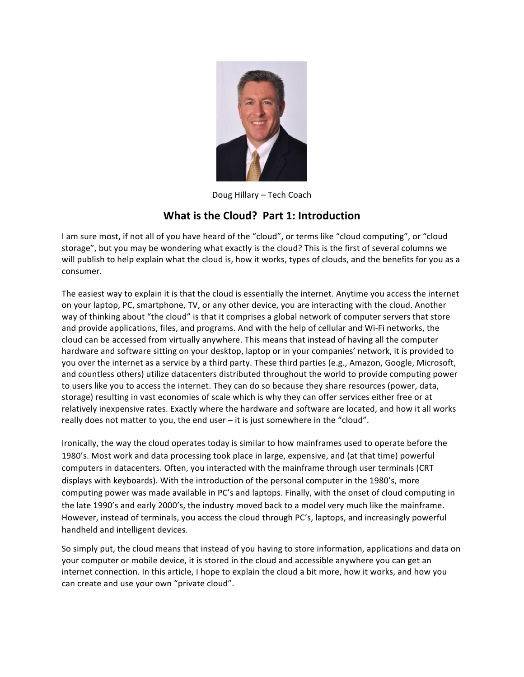

Doug Hillary - Tech Coach

## **What is the Cloud? Part 1: Introduction**

I am sure most, if not all of you have heard of the "cloud", or terms like "cloud computing", or "cloud storage", but you may be wondering what exactly is the cloud? This is the first of several columns we will publish to help explain what the cloud is, how it works, types of clouds, and the benefits for you as a consumer.

The easiest way to explain it is that the cloud is essentially the internet. Anytime you access the internet on your laptop, PC, smartphone, TV, or any other device, you are interacting with the cloud. Another way of thinking about "the cloud" is that it comprises a global network of computer servers that store and provide applications, files, and programs. And with the help of cellular and Wi-Fi networks, the cloud can be accessed from virtually anywhere. This means that instead of having all the computer hardware and software sitting on your desktop, laptop or in your companies' network, it is provided to you over the internet as a service by a third party. These third parties (e.g., Amazon, Google, Microsoft, and countless others) utilize datacenters distributed throughout the world to provide computing power to users like you to access the internet. They can do so because they share resources (power, data, storage) resulting in vast economies of scale which is why they can offer services either free or at relatively inexpensive rates. Exactly where the hardware and software are located, and how it all works really does not matter to you, the end user  $-$  it is just somewhere in the "cloud".

Ironically, the way the cloud operates today is similar to how mainframes used to operate before the 1980's. Most work and data processing took place in large, expensive, and (at that time) powerful computers in datacenters. Often, you interacted with the mainframe through user terminals (CRT displays with keyboards). With the introduction of the personal computer in the 1980's, more computing power was made available in PC's and laptops. Finally, with the onset of cloud computing in the late 1990's and early 2000's, the industry moved back to a model very much like the mainframe. However, instead of terminals, you access the cloud through PC's, laptops, and increasingly powerful handheld and intelligent devices.

So simply put, the cloud means that instead of you having to store information, applications and data on your computer or mobile device, it is stored in the cloud and accessible anywhere you can get an internet connection. In this article, I hope to explain the cloud a bit more, how it works, and how you can create and use your own "private cloud".